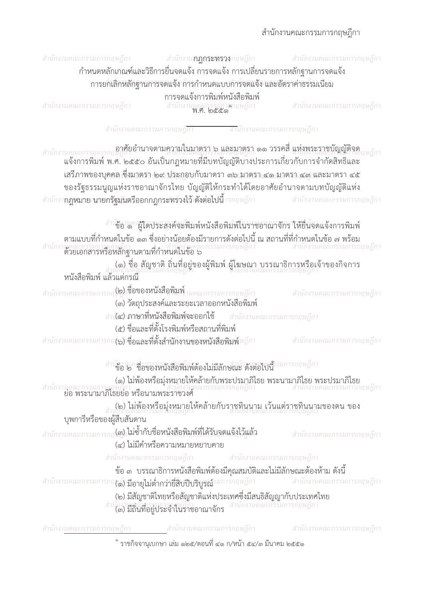## สำนักงานคณะกรรมการกฤษฎีกา

| สำนักงานคณะกรรมการกฤษฎีกา สำนักงาน <b>กฎกระหรวง</b> กฤษฎีกา                       | กำหนดหลักเกณฑ์และวิธีการยื่นจดแจ้ง การจดแจ้ง การเปลี่ยนรายการหลักฐานการจดแจ้ง                                                                                   | สำนักงานคณะกรรมการกฤษฎีกา                                                                                                                                           |  |  |
|-----------------------------------------------------------------------------------|-----------------------------------------------------------------------------------------------------------------------------------------------------------------|---------------------------------------------------------------------------------------------------------------------------------------------------------------------|--|--|
|                                                                                   | การยกเลิกหลักฐานการจดแจ้ง การกำหนดแบบกำรจดแจ้ง และอัตราค่าธรรมเนียม<br>การจดแจ้งการพิมพ์หนังสือพิมพ์                                                            |                                                                                                                                                                     |  |  |
| สำนักงานคณะกรรมการกฤษฎีกา                                                         | สำนักงานคณะกรรมกาดาฤษฎีกา<br><b>พ.ศ. ๒๕๕๑</b>                                                                                                                   | สำนักงานคณะกรรมการกฤษฎีกา                                                                                                                                           |  |  |
|                                                                                   | สำนักงานคณะกรรมการกฤษฎ <mark>ีกา สำนักงานคณะกรรมการกฤษฎี</mark> กา                                                                                              |                                                                                                                                                                     |  |  |
| สำนักงานคณะก                                                                      | ู อาศัยอำนาจตามความในมาตรา ๖ และมาตรา ๑๑ วรรคสี แห่งพระราชบัญญัติจด<br>ี่แจ้งการพิมพ์ พ.ศ. ๒๕๕๐ อันเป็นกฎหมายที่มีบทบัญญัติบางประการเกี่ยวกับการจำกัดสิทธิและ   |                                                                                                                                                                     |  |  |
|                                                                                   | เสรีภาพของบุคคล ซึ่งมาตรา ๒๙ ประกอบกับมาตรา ๓๖ มาตรา ๔๑ มาตรา ๔๓ และมาตรา ๔๕<br>ของรัฐธรรมนูญแห่งราชอาณาจักรไทย บัญญัติให้กระทำได้โดยอาศัยอำนาจตามบทบัญญัติแห่ง |                                                                                                                                                                     |  |  |
| สำนักงา <b>กฏหมาย นายกรัฐมันตรีออกกฎกระทรวงไว้ ดังต่อไปนี้</b> ารกฤษฎีกา          |                                                                                                                                                                 | สำนักงานคณะกรรมการกฤษฎีกา                                                                                                                                           |  |  |
|                                                                                   | <i>สำเ</i> ชื่อ '&" ผู้ใดประสงค์จะพิมพ์หนังสือพิมพ์ในราชอาณาจักร ให้ยื่นจดแจ้งการพิมพ์                                                                          |                                                                                                                                                                     |  |  |
|                                                                                   |                                                                                                                                                                 | ์ตามแบบที่กำหนดในข้อ ๑๓ ซึ่งอย่างน้อยต้องมีรายการดังต่อไปนี้ ณ สถานที่ที่กำหนดในข้อ ๗ พร้อม<br>สำนักงานคณะกรรมการกฤษฎีกา<br>ด้วยเอกสารหรือหลักฐานตามที่กำหนดในข้อ ๖ |  |  |
| หนังสือพิมพ์ แล้วแต่กรณี                                                          | ี (๑) ชื่อ สัญชาติ ถิ่นที่อยู่ของผู้พิมพ์ ผู้โฆษณา บรรณาธิการหรือเจ้าของกิจการ<br>นักงานคณะกรรมการกฤษฎีกา                                                       |                                                                                                                                                                     |  |  |
|                                                                                   | <b>(๒) ชื่อของหนังสือพิมพ์</b> านคณะกรรมการกฤษฎีกา<br>(๓) วัตถุประสงค์และระยะเวลาออกหนังสื่อพิมพ์                                                               | สำนักงานคณะกรรมการกฤษฎีกา                                                                                                                                           |  |  |
|                                                                                   | สำนั <b>๔) ภาษาที่หนังสือพิมพ์จะออกใช้</b> สำนักงานคณะกรรมการกฤษฎีกา<br>(๕) ชื่อและที่ตั้งโรงพิมพ์หรือสถานที่พิมพ์                                              |                                                                                                                                                                     |  |  |
|                                                                                   | (๒) ชื่อและที่ตั้งสำนักงานของหนังสือพิมพ์ <i>ษฎีกา</i>                                                                                                          | สำนักงานคณะกรรมการกฤษฎีกา                                                                                                                                           |  |  |
|                                                                                   | สำนักงานคล่ะกรรมกุฬาสิบพิเทต์องไม่มีลักษณะ ดังต่อไปนี้                                                                                                          |                                                                                                                                                                     |  |  |
|                                                                                   |                                                                                                                                                                 | (๑) ไม่พ้องหรือมุ่งหมายให้คล้ายกับพระปรมาภิไธย พระนามาภิไธย พระปรมาภิไธย<br>สำนักงานคณะกรรมการถูกษฎกา<br>เยื่อ พระนามาภิไธยย่อ หรือนามพระราชวงศ์                    |  |  |
| <sub>สำนัก</sub> มาน้องหรือมุ่งหมายให้คล้ายกับราชทินนาม เว้นแต่ราชทินนามของตน ของ |                                                                                                                                                                 |                                                                                                                                                                     |  |  |
| บุพการีหรือของผู้สืบสันดาน                                                        | <sub>อ</sub> (๓) ไม่ซ้ำกับชื่อหนังสือพิมพ์ที่ได้รับจดแจ้งไว้แล้ว                                                                                                |                                                                                                                                                                     |  |  |
| สำนักงานคณะกรรมการก                                                               | (๔) ไม่มีคำหรือความหมายหยาบคาย                                                                                                                                  | สำนักงานคณะกรรมการกฤษฎีกา                                                                                                                                           |  |  |
|                                                                                   | สำนักงานคณะกรรมการกฤษฎีกา สำนักงานคณะกรรมการกฤษฎีกา                                                                                                             |                                                                                                                                                                     |  |  |
| สำนักงานคณะกรรมการกฤชู ดี) <b>มีอายุไม่ต่ำกว่ายี่สิบปีบริบูรณ์</b> รมการกฤษฎีกา   | ข้อ ๓  บรรณาธิการหนังสือพิมพ์ต้องมีคุณสมบัติและไม่มีลักษณะต้องห้าม ดังนี้                                                                                       | สำนักงานคณะกรรมการกฤษฎีกา                                                                                                                                           |  |  |
|                                                                                   | (๒) มีสัญชาติไทยหรือสัญชาติแห่งประเทศซึ่งมีสนธิสัญญากับประเทศไทย                                                                                                |                                                                                                                                                                     |  |  |
|                                                                                   | สำนักงานสาเนารถแกรกลายกี่กา<br>(๓) มีถิ่นที่อยู่ประจำในร่าชอาณาจักร                                                                                             | สำนักงานคณะกรรมการกฤษฎีกา                                                                                                                                           |  |  |
| สำนักงานคณะกรรมการกฤษฎีกา สำนักงานคณะกรรมการกฤษฎีกา                               |                                                                                                                                                                 | ี สำนักงานคณะกรรมการกฤษฎีกา                                                                                                                                         |  |  |

ຶ ราชกิจจานุเบกษา เล่ม ๑๒๕/ตอนที่ ๔๑ ก/หน้า ๕๔/๓ มีนาคม ๒๕๕๑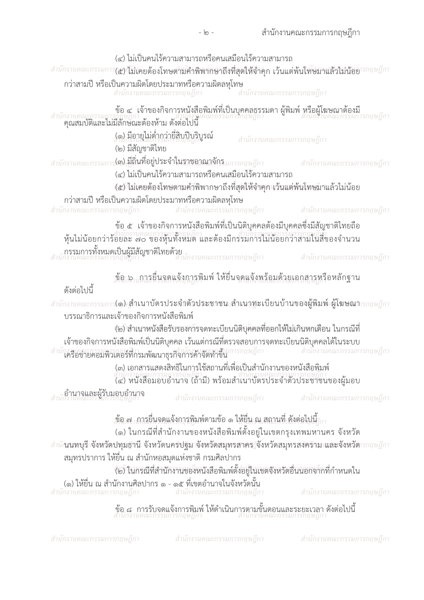| สำนักงานคณะกรรมก                                                                                                                                                                                                                                    |                                        | (๔) ไม่เป็นคนไร้ความสามารถหรือคนเสมือนไร้ความสามารถ<br>กว่าสามปี หรือเป็นความผิดโดยประมาทหรือความผิดลหุโทษ<br>สำนักงานคณะกรรมการกฤษฎีกา | ี่ สำนักงานคณะกรรมการกฤษฎีกา                                                                                                                                                            | $\mathcal{I}(\mathcal{C})$ ไม่เคยต้องโทษตามคำพิพากษาถึงที่สุดให้จำคุก เว้นแต่พ้นโทษมาแล้วไม่น้อย $\mathcal{I}$ กกษฎีกา |
|-----------------------------------------------------------------------------------------------------------------------------------------------------------------------------------------------------------------------------------------------------|----------------------------------------|-----------------------------------------------------------------------------------------------------------------------------------------|-----------------------------------------------------------------------------------------------------------------------------------------------------------------------------------------|------------------------------------------------------------------------------------------------------------------------|
| สำนักงานคณะกรรมการกับษฎีการ ระบบมาการที่วันการ<br>คุณสมบัติและไม่มีลักษณะต้องห้าม ดังต่อไปนี้                                                                                                                                                       | (๑) มีอายุไม่ต่ำกว่ายี่สิบปีบริบูรณ์   |                                                                                                                                         | สำนักงานคณะกรรมการกฤษฎีกา                                                                                                                                                               |                                                                                                                        |
| สำนักงานคณะกรรมก                                                                                                                                                                                                                                    | (๒) มีสัญชาติไทย                       | .(๓) มีถิ่นที่อยู่ประจำในราชอาณาจักร <i>มการกฤษฎีกา</i><br>(๔) ไม่เป็นคนไร้ความสามารถหรือคนเสมือนไร้ความสามารถ                          |                                                                                                                                                                                         | สำนักงานคณะกรรมการกฤษฎีกา                                                                                              |
| งานคณะกรรมการกฤษฎีกา                                                                                                                                                                                                                                |                                        | กว่าสามปี หรือเป็นความผิดโดยประมาทหรือความผิดลหุโทษ<br>สำนักงานคณะกรรมการกฤษฎีกา                                                        | (๕) ไม่เคยต้องโทษตามคำิพิพากษาถึงที่สุดให้จำคุก เว้นแต่พ้นโทษมาแล้วไม่น้อย                                                                                                              | สำนักงานคณะกรรมการกฤษฎีกา                                                                                              |
| ข้อ ๕ เจ้าของกิจการหนังสือพิมพ์ที่เป็นนิติบุคคลต้องมีบุคคลซึ่งมีสัญชาติไทยถือ<br>หุ้นไม่น้อยกว่าร้อยละ ๗๐ ของหุ้นทั้งหมด และต้องมีกรรมการใม่น้อยกว่าสามในสีของจำนวน<br>ิ<br>. <b>กรรมการทั้งหมดเป็นผู้มีสัญชาติไทยด้วย</b><br>กงานคณะกรรมการกฤษฎีกา |                                        |                                                                                                                                         |                                                                                                                                                                                         |                                                                                                                        |
|                                                                                                                                                                                                                                                     |                                        |                                                                                                                                         |                                                                                                                                                                                         | สำนักงานคณะกรรมการกฤษฎีกา                                                                                              |
| ดังต่อไปนี้                                                                                                                                                                                                                                         |                                        |                                                                                                                                         |                                                                                                                                                                                         | ู้ข้อ 5, การยื่นจดแจ้งการพิมพ์ ให้ยื่นจดแจ้งพร้อมด้วยเอกสารหรือหลักฐาน                                                 |
|                                                                                                                                                                                                                                                     | บรรณาธิการและเจ้าของกิจการหนังสือพิมพ์ |                                                                                                                                         |                                                                                                                                                                                         | สำนักงานคณะกรรมการ <b>(๑) สำเนาบัตรประจำตัวประชาชน สำเนาทะเบียนบ้านของผู้พิมพ์ ผู้โฆษณา</b> เรกฤษฎีกา                  |
|                                                                                                                                                                                                                                                     |                                        |                                                                                                                                         | (๒) สำเนาหนังสือรับรองการจดทะเบียนนิติบุคคลที่ออกให้ไม่เกินหกเดือน ในกรณีที่<br>้เจ้าของกิจการหนังสือพิมพ์เป็นนิติบุคคล เว้นแต่กรณีที่ตรวจสอบการจดทะเบียนนิติบุคคลได้ในระบบ             |                                                                                                                        |
|                                                                                                                                                                                                                                                     |                                        | ใครือข่ายคอมพิวเตอร์ที่กรมพัฒนาธุรกิจการค้าจัดทำขึ้น                                                                                    |                                                                                                                                                                                         | สำนักงานคณะกรรมการกฤษฎีกา                                                                                              |
|                                                                                                                                                                                                                                                     |                                        |                                                                                                                                         |                                                                                                                                                                                         |                                                                                                                        |
| -อำนาจและผู้รับมอบอำนาจ<br>เก่งานคณะกรรมการกฤษฎีกา                                                                                                                                                                                                  |                                        | สำนักงานคณะกรรมการกฤษฎีกา                                                                                                               |                                                                                                                                                                                         | สำนักงานคณะกรรมการกฤษฎีกา                                                                                              |
|                                                                                                                                                                                                                                                     |                                        |                                                                                                                                         | $\mathring{\mathit{N}}$ อ ๗ $_1$ การยื่นจดแจ้งการพิมพ์ตามข้อ ๑ ให้ยื่น ณ สถานที่ ดังต่อไปนี้ $_{\mathrm{10}}$<br>(๑) ในกรณีที่สำนักงานของหนังสือพิมพ์ตั้งอยู่ในเขตกรุงเทพมหานคร จังหวัด |                                                                                                                        |
|                                                                                                                                                                                                                                                     |                                        |                                                                                                                                         |                                                                                                                                                                                         | สำนักนนทบุรี จังหวัดปทุมฐกนี จังหวัดนครปฐัม จังหวัดสมุทรสาคร จึงหวัดสมุทรสงครักม และจังหวัด รกฤษฎีกา                   |
|                                                                                                                                                                                                                                                     |                                        | สมุทรปราการ ให้ยื่น ณ สำนักหอสมุดแห่งชาติ กรมศิลปากร                                                                                    | (๒) ในกรณีที่สำนักงานของหนังสือพิมพ์ตั้งอยู่ในเขตจังหวัดอื่นนอกจ <sup>ั</sup> กที่กำหนดใน                                                                                               |                                                                                                                        |
| สำนักงานคณะกรรมการกฤษฎีกา                                                                                                                                                                                                                           |                                        | (๑) ให้ยื่น ณ สำนักงานศิลปากร ๑ - ๑๕ ที่เขตอำนาจในจังหวัดนั้น<br>สำนักงานคณะกรรมการกฤษฎีกา                                              |                                                                                                                                                                                         | สำนักงานคณะกรรมการกฤษฎีกา                                                                                              |
|                                                                                                                                                                                                                                                     |                                        |                                                                                                                                         | ข้อ ๘   การรับจดแจ้งการพิมพ์ ให้ดำเนินการตามขั้นตอนและระยะเวลา ดังต่อไปนี้<br>สำนักงานคณะกรรมการกฤษฎีกา                                                                                 |                                                                                                                        |

-  $\circ$  -

สำนักงานคณะกรรมการกฤษฎีกา สำนักงานคณะกรรมการกฤษฎีกา สำนักงานคณะกรรมการกฤษฎีกา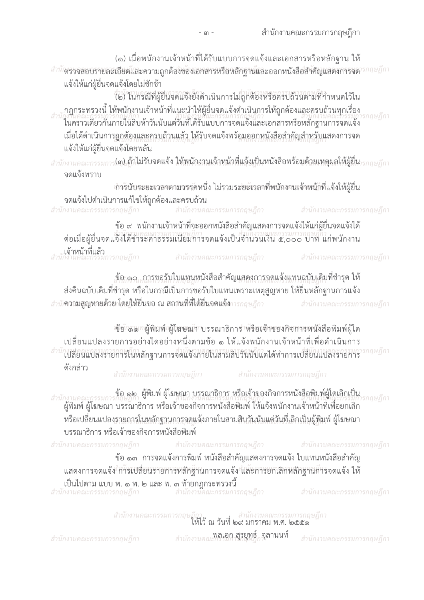(๑) เมื่อพนักงานเจ้าหน้าที่ได้รับแบบการจดแจ้งและเอกสารหรือหลักฐาน ให้  $^{-3+17}$ ตรวจสอบรายละเอียดและความถูกต้องของเอกสารหรือหลักฐานและออกหนังสือสำคัญแสดงการจด $^{\prime\prime}$ รกฤษฎีกา แจ้งให้แก่ผู้ยื่นจดแจ้งโดยไม่ชักช้า

(๒) ในกรณีที่ผู้ยืนจดแจ้งยังดำเนินการไม่ถูกต้องหรือครบถ้วนตามที่กำหนดไว้ใน ุกฎกระทรวงนี้ ให้พนักงานเจ้าหน้าที่แนะนำให้ผู้ยื่นจดแจ้งดำเนินการให้ถูกต้องและครบถ้วนทุกเรื่อง กถษฎีกา ้ในคราวเดียวกันภายในสิบห้าวันนับแต่วันที่ได้รับแบบการจดแจ้งและเอกสารหรือหลักฐานการจดแจ้ง เมื่อได้ดำเนินการถูกต้องและครบถ้วนแล้ว ให้รับจดแจ้งพร้อมออกหนังสือสำคัญสำหรับแสดงการจด แจ้งให้แก่ผู้ยื่นจดแจ้งโดยพลัน

สำนักงานคณะกรรมการ**(๓) ถ้าไม่รับจดแจ้ง ให้พนักงานเจ้าหน้าที่แจ้งเป็นหนังสือพร้อมด้วยเหตุผลให้ผู้ยื่น<sub>ารกฤษฎ</sub>ีกา** จดแจ้งทราบ

ำกรนับระยะเวลาตามวรรคหนึ่ง ไม่รวมระยะเวลาที่พนักงานเจ้าหนักที่แจ้งให้ผู้ยื่น ้จดแจ้งไปดำเนินการแก้ไขให้ถูกต้องและครบถ้วน

สำนักงานคณะกรรมการกฤษฎีกา สำนักงานคณะกรรมการกฤษฎีกา สำนักงานคณะกรรมการกฤษฎีกา ี ข้อ ๙ พนักงานเจ้าหน้าที่จะออกหนังสือสำคัญแสดงการจดแจ้งให้แก่ผู้ยื่นจดแจ้งได้ ต่อเมื่อผู้ยื่นจดแจ้งได้ชำระค่าธรรมเนียมการจดแจ้งเป็นจำนวนเงิน ๕,๐๐๐ บาท แก่พนักงาน

**ู<br>สำนักงานคณะกรรม**การกฤษฎีกา

สำนักงานคณะกรรมการกฤษฎีกา

สำนักงานคณะกรรมการกฤษฎีกา

ข้อ ๑๐ . การขอรับใบแทนหนังสือสำคัญแสดงการจดแจ้งแทนฉบับเดิมที่ชำรุด ให้ ้ส่งคืนฉบับเดิมที่ชำรุด หรือในกรณีเป็นการขอรับใบแทนเพราะเหตุสูญหาย ให้ยื่นหลักฐานการแจ้ง สำนัก**จามสูญหายด้วยกโดยให้ยื่นขอ ณ สถานที่ที่ได้ยื่นจดแจ้ง**การกฤษฎีกา สำนักงานคณะกรรมการกฤษฎีกา

้ข้อ เลง ผู้พิมพ์ ผู้โฆษณา บรรณาธิการ หรือเจ้าของกิจการหนังสือพิมพ์ผู้ใด เปลี่ยนแปลงรายการอย่างใดอย่างหนึ่งตามข้อ ๑ ให้แจ้งพนักงานเจ้าหน้าที่เพื่อดำเนินการ สำนักงาสยนแปลงรายการในหลักฐานการจัดแจ้งภายในสามสิบวันนับแต่ได้ทำการเปลี่ยนแปลงรายการ กฤษฎีกา

ดังกล่าว

สำนักงานคณะกรรมการกฤษฎีกา

สำนักงานคณะกรรมการกฤษฎีกา

ู ข้อ ๑๒ ผู้พิมพ์ ผู้โฆษณา บรรณาธิการ หรือเจ้าของกิจการหนังสือพิมพ์ผู้ใดเลิกเป็น าถษภีกา ีผู้พิมพ์ ผู้โฆษณา บรรณาธิการ หรือเจ้าของกิจการหนังสือพิมพ์ ให้แจ้งพนักงานเจ้าหน้าที่เพื่อยกเลิก ่ หรือเปลี่ยนแปลงรายการในหลักฐานการจดแจ้งภายในสามสิบวันนับแต่วันที่เลิกเป็นผู้พิมพ์ ผู้โฆษณา ้บรรณาธิการ หรือเจ้าของกิจการหนังสือพิมพ์

สำนักงานคณะกรรมการกฤษฎีกา สำนักงานคณะกรรมการกฤษฎีกา ี สำนักงานคณะกรรมการกฤษฎีกา ้ข้อ ๑๓ การจดแจ้งการพิมพ์ หนังสือสำคัญแสดงการจดแจ้ง ใบแทนหนังสือสำคัญ แสดงการจดแจ้ง การเปลี่ยนรายการหลักฐานการจดแจ้ง<sup>ส</sup>ู่และการยกเลิกหลักฐานการจดแจ้ง ให้ เป็นไปตาม แบบ พ. ๑ พ. ๒ และ พ. ๓ ท้ายกฎกระทรวงนี้<br>สำนักงานคณะกรรมการกฤษฎีกา สำนักงานคณะกรรมการกฤษฎีกา สำนักงานคณะกรรมการกฤษฎีกา

สำนักงานคณะกรรมการกฤษฎีกา<br>ให้ไว้ ณ วันที่ ๒๙ มกราคม พ.ศ. ๒๕๕๑

สำนักงานคณะกรรมการกฤษฎีกา

สำนักงานคณะกรรมการและเข้<sub>า</sub>กุลานนท์

สำนักงานคณะกรรมการกฤษฎีกา

 $m -$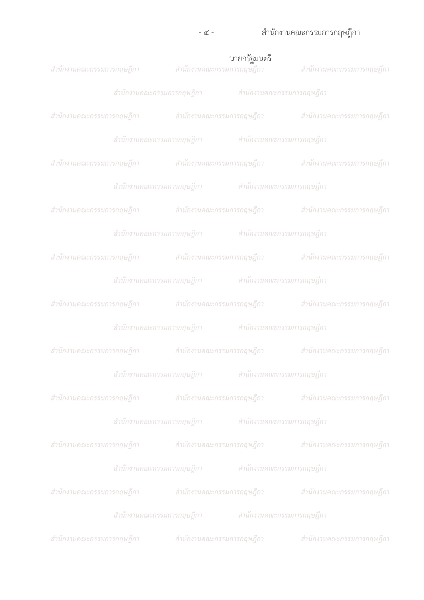## 

|                                                     |                                                     | <b>นายกรัฐมนตรี</b><br>สำนักงานคณะกรรมการกฤษฎีกา สำนักงานคณะกรรมกา <mark>รกฤษฎีกา</mark> สำนักงานคณะกรรมการกฤษฎีกา |
|-----------------------------------------------------|-----------------------------------------------------|--------------------------------------------------------------------------------------------------------------------|
|                                                     | สำนักงานคณะกรรมการกฤษฎีกา สำนักงานคณะกรรมการกฤษฎีกา |                                                                                                                    |
|                                                     |                                                     | ี่สำนักงานคณะกรรมการกฤษฎีกา สำนักงานคณะกรรมการกฤษฎีกา สำนักงานคณะกรรมการกฤษฎีกา                                    |
|                                                     | สำนักงานคณะกรรมการกฤษฎีกา สำนักงานคณะกรรมการกฤษฎีกา |                                                                                                                    |
|                                                     |                                                     | สำนักงานคณะกรรมการกฤษฎีกา สำนักงานคณะกรรมการกฤษฎีกา สำนักงานคณะกรรมการกฤษฎีกา                                      |
|                                                     | สำนักงานคณะกรรมการกฤษฎีกา สำนักงานคณะกรรมการกฤษฎีกา |                                                                                                                    |
|                                                     |                                                     | สำนักงานคณะกรรมการกฤษฎีกา สำนักงานคณะกรรมการกฤษฎีกา สำนักงานคณะกรรมการกฤษฎีกา                                      |
|                                                     | สำนักงานคณะกรรมการกฤษฎีกา สำนักงานคณะกรรมการกฤษฎีกา |                                                                                                                    |
|                                                     |                                                     | สำนักงานคณะกรรมการกฤษฎีกา สำนักงานคณะกรรมการกฤษฎีกา สำนักงานคณะกรรมการกฤษฎีกา                                      |
|                                                     | สำนักงานคณะกรรมการกฤษฎีกา สำนักงานคณะกรรมการกฤษฎีกา |                                                                                                                    |
|                                                     |                                                     | สำนักงานคณะกรรมการกฤษฎีกา สำนักงานคณะกรรมการกฤษฎีกา สำนักงานคณะกรรมการกฤษฎีกา                                      |
|                                                     | สำนักงานคณะกรรมการกฤษฎีกา สำนักงานคณะกรรมการกฤษฎีกา |                                                                                                                    |
|                                                     |                                                     | สำนักงานคณะกรรมการกฤษฎีกา                 สำนักงานคณะกรรมการกฤษฎีกา                สำนักงานคณะกรรมการกฤษฎีกา       |
|                                                     |                                                     | สำนักงานคณะกรรมการกฤษฎีกา สำนักงานคณะกรรมการกฤษฎีกา                                                                |
|                                                     |                                                     | ี่ สำนักงานคณะกรรมการกฤษฎีกา สำนักงานคณะกรรมการกฤษฎีกา สำนักงานคณะกรรมการกฤษฎีกา                                   |
|                                                     | สำนักงานคณะกรรมการกฤษฎีกา สำนักงานคณะกรรมการกฤษฎีกา |                                                                                                                    |
|                                                     |                                                     | สำนักงานคณะกรรมการกฤษฎีกา สำนักงานคณะกรรมการกฤษฎีกา สำนักงานคณะกรรมการกฤษฎีกา                                      |
|                                                     | สำนักงานคณะกรรมการกฤษฎีกา สำนักงานคณะกรรมการกฤษฎีกา |                                                                                                                    |
|                                                     |                                                     | ี่ สำนักงานคณะกรรมการกฤษฎีกา สำนักงานคณะกรรมการกฤษฎีกา สำนักงานคณะกรรมการกฤษฎีกา                                   |
|                                                     | สำนักงานคณะกรรมการกฤษฎีกา สำนักงานคณะกรรมการกฤษฎีกา |                                                                                                                    |
| สำนักงานคณะกรรมการกฤษฎีกา สำนักงานคณะกรรมการกฤษฎีกา |                                                     | ี่ สำนักงานคณะกรรมการกฤษฎีกา                                                                                       |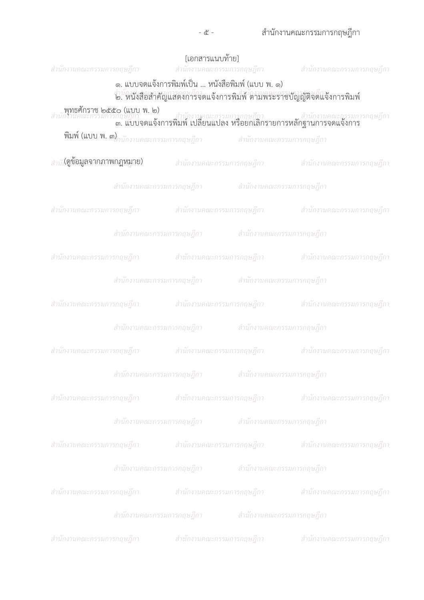|  | [เอกสารแนบท้าย]                                                                                                                                            | สำนักงานคณะกรรมการกฤษฎีกา สำนักงานคณะกรรมการกฤษฎีกา สำนักงานคณะกรรมการกฤษฎีกา                                                     |
|--|------------------------------------------------------------------------------------------------------------------------------------------------------------|-----------------------------------------------------------------------------------------------------------------------------------|
|  | ๑. แบบจดแจ้งการพิมพ์เป็น  หนังสือพิมพ์ (แบบ พ. ๑)<br>สำนักงานลูกเรารถมนารถถนากี่กา<br>๒. หนังสือสำคัญแสดงการจดแจ้งการพิมพ์ ตามพระราชบัญญัติจัดแจ้งการพิมพ์ |                                                                                                                                   |
|  |                                                                                                                                                            | ้ พุทธศักราช ๒๕๕๐ (แบบ พ. ๒)<br>สำนักงานคณะกรรมการกฤษฎีกา<br>๓. แบบจดแจ้งการพิมพ์ เปลี่ยนแปลง หรือยกเลิกรายการหลักฐานการจดแจ้งการ |
|  | <b>พิมพ์ (แบบ พ. ๓)</b> <sub>มักงานคณะกรรมการกฤษฎีกา               สำนักงานคณะกรรมการกฤษฎีกา</sub>                                                         |                                                                                                                                   |
|  |                                                                                                                                                            | สำนั1 <b>(ตูข้อมูลจกคภาพกฎหมูาย)</b> สำนักงานคณะกรรมการกฤษฎีกา สำนักงานคณะกรรมการกฤษฎีกา                                          |
|  | สำนักงานคณะกรรมการกฤษฎีกา สำนักงานคณะกรรมการกฤษฎีกา                                                                                                        |                                                                                                                                   |
|  |                                                                                                                                                            | สำนักงานคณะกรรมการกฤษฎีกา สำนักงานคณะกรรมการกฤษฎีกา สำนักงานคณะกรรมการกฤษฎีกา                                                     |
|  | สำนักงานคณะกรรมการกฤษฎีกา สำนักงานคณะกรรมการกฤษฎีกา                                                                                                        |                                                                                                                                   |
|  |                                                                                                                                                            | สำนักงานคณะกรรมการกฤษฎีกา สำนักงานคณะกรรมการกฤษฎีกา สำนักงานคณะกรรมการกฤษฎีกา                                                     |
|  | สำนักงานคณะกรรมการกฤษฎีกา สำนักงานคณะกรรมการกฤษฎีกา                                                                                                        |                                                                                                                                   |
|  |                                                                                                                                                            | สำนักงานคณะกรรมการกฤษฎีกา สำนักงานคณะกรรมการกฤษฎีกา สำนักงานคณะกรรมการกฤษฎีกา                                                     |
|  | สำนักงานคณะกรรมการกฤษฎีกา สำนักงานคณะกรรมการกฤษฎีกา                                                                                                        |                                                                                                                                   |
|  |                                                                                                                                                            | ี่ สำนักงานคณะกรรมการกฤษฎีกา สำนักงานคณะกรรมการกฤษฎีกา สำนักงานคณะกรรมการกฤษฎีกา                                                  |
|  | สำนักงานคณะกรรมการกฤษฎีกา สำนักงานคณะกรรมการกฤษฎีกา                                                                                                        |                                                                                                                                   |
|  |                                                                                                                                                            | สำนักงานคณะกรรมการกฤษฎีกา สำนักงานคณะกรรมการกฤษฎีกา สำนักงานคณะกรรมการกฤษฎีกา                                                     |
|  | ี่สำนักงานคณะกรรมการกฤษฎีกา สำนักงานคณะกรรมการกฤษฎีกา                                                                                                      |                                                                                                                                   |
|  |                                                                                                                                                            | สำนักงานคณะกรรมการกฤษฎีกา สำนักงานคณะกรรมการกฤษฎีกา สำนักงานคณะกรรมการกฤษฎีกา                                                     |
|  | สำนักงานคณะกรรมการกฤษฎีกา สำนักงานคณะกรรมการกฤษฎีกา                                                                                                        |                                                                                                                                   |
|  |                                                                                                                                                            | สำนักงานคณะกรรมการกฤษฎีกา สำนักงานคณะกรรมการกฤษฎีกา สำนักงานคณะกรรมการกฤษฎีกา                                                     |
|  | ี่สำนักงานคณะกรรมการกฤษฎีกา สำนักงานคณะกรรมการกฤษฎีกา                                                                                                      |                                                                                                                                   |
|  | สำนักงานคณะกรรมการกฤษฎีกา สำนักงานคณะกรรมการกฤษฎีกา                                                                                                        | สำนักงานคณะกรรมการกฤษฎีกา                                                                                                         |